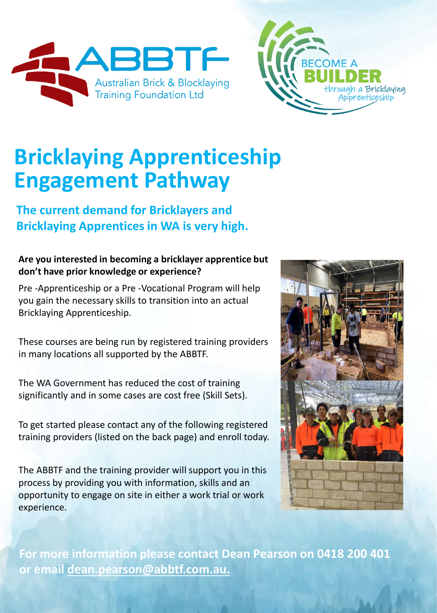



## **Bricklaying Apprenticeship Engagement Pathway**

### **The current demand for Bricklayers and Bricklaying Apprentices in WA is very high.**

#### **Are you interested in becoming a bricklayer apprentice but don't have prior knowledge or experience?**

Pre -Apprenticeship or a Pre -Vocational Program will help you gain the necessary skills to transition into an actual Bricklaying Apprenticeship.

These courses are being run by registered training providers in many locations all supported by the ABBTF.

The WA Government has reduced the cost of training significantly and in some cases are cost free (Skill Sets).

To get started please contact any of the following registered training providers (listed on the back page) and enroll today.

The ABBTF and the training provider will support you in this process by providing you with information, skills and an opportunity to engage on site in either a work trial or work experience.



**For more information please contact Dean Pearson on 0418 200 401 or email [dean.pearson@abbtf.com.au.](mailto:dean.pearson@abbtf.com.au)**